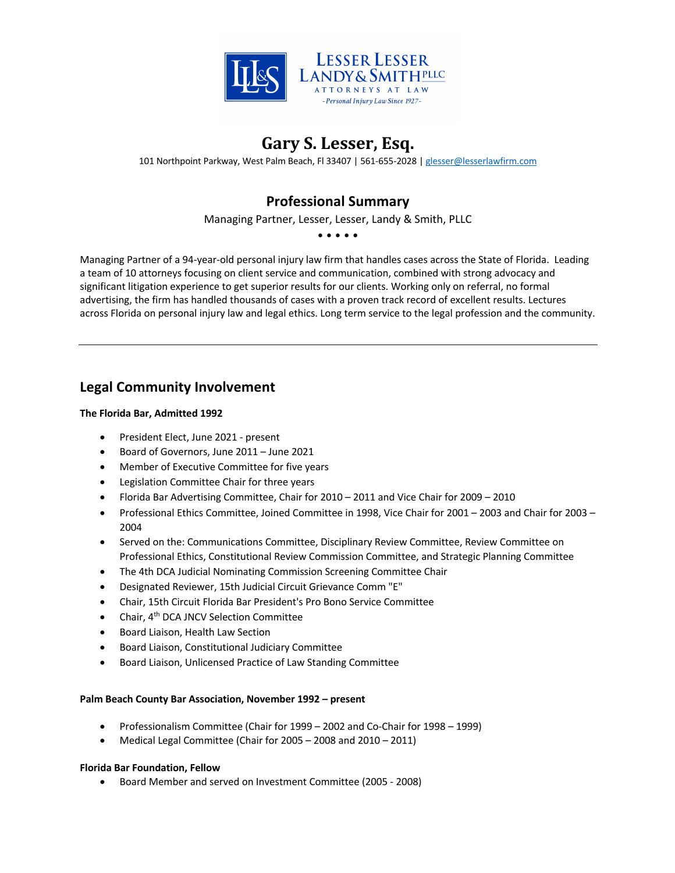

## **Gary S. Lesser, Esq.**

101 Northpoint Parkway, West Palm Beach, Fl 33407 | 561-655-2028 | glesser@lesserlawfirm.com

## **Professional Summary**

Managing Partner, Lesser, Lesser, Landy & Smith, PLLC

• • • • •

Managing Partner of a 94-year-old personal injury law firm that handles cases across the State of Florida. Leading a team of 10 attorneys focusing on client service and communication, combined with strong advocacy and significant litigation experience to get superior results for our clients. Working only on referral, no formal advertising, the firm has handled thousands of cases with a proven track record of excellent results. Lectures across Florida on personal injury law and legal ethics. Long term service to the legal profession and the community.

## **Legal Community Involvement**

### **The Florida Bar, Admitted 1992**

- President Elect, June 2021 present
- Board of Governors, June 2011 June 2021
- Member of Executive Committee for five years
- Legislation Committee Chair for three years
- Florida Bar Advertising Committee, Chair for 2010 2011 and Vice Chair for 2009 2010
- Professional Ethics Committee, Joined Committee in 1998, Vice Chair for 2001 2003 and Chair for 2003 2004
- Served on the: Communications Committee, Disciplinary Review Committee, Review Committee on Professional Ethics, Constitutional Review Commission Committee, and Strategic Planning Committee
- The 4th DCA Judicial Nominating Commission Screening Committee Chair
- Designated Reviewer, 15th Judicial Circuit Grievance Comm "E"
- Chair, 15th Circuit Florida Bar President's Pro Bono Service Committee
- Chair, 4<sup>th</sup> DCA JNCV Selection Committee
- Board Liaison, Health Law Section
- Board Liaison, Constitutional Judiciary Committee
- Board Liaison, Unlicensed Practice of Law Standing Committee

### **Palm Beach County Bar Association, November 1992 – present**

- Professionalism Committee (Chair for 1999 2002 and Co-Chair for 1998 1999)
- Medical Legal Committee (Chair for 2005 2008 and 2010 2011)

### **Florida Bar Foundation, Fellow**

• Board Member and served on Investment Committee (2005 - 2008)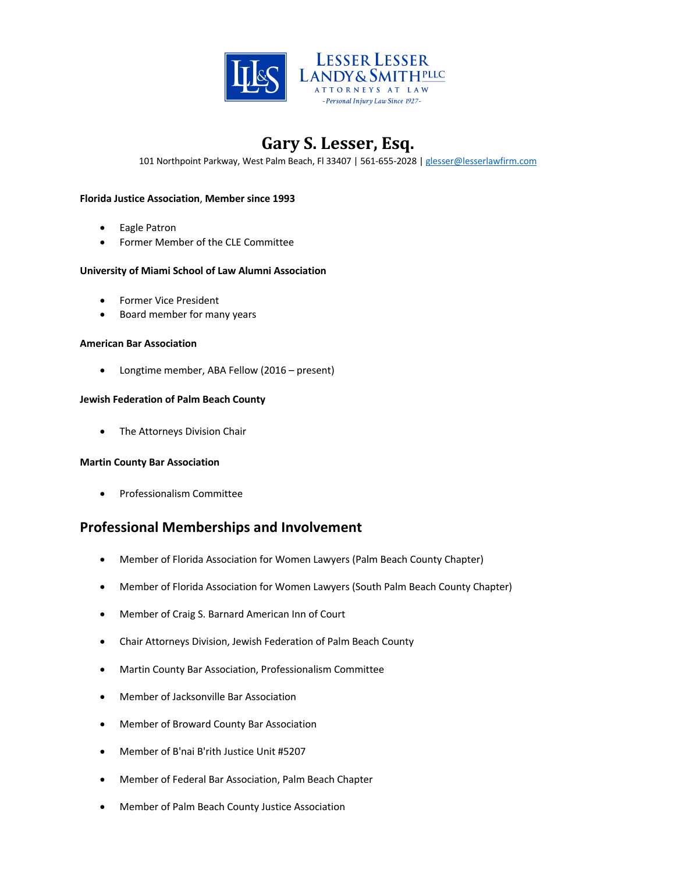

101 Northpoint Parkway, West Palm Beach, Fl 33407 | 561-655-2028 | glesser@lesserlawfirm.com

#### **Florida Justice Association**, **Member since 1993**

- Eagle Patron
- Former Member of the CLE Committee

#### **University of Miami School of Law Alumni Association**

- Former Vice President
- Board member for many years

#### **American Bar Association**

• Longtime member, ABA Fellow (2016 – present)

#### **Jewish Federation of Palm Beach County**

• The Attorneys Division Chair

#### **Martin County Bar Association**

• Professionalism Committee

### **Professional Memberships and Involvement**

- Member of Florida Association for Women Lawyers (Palm Beach County Chapter)
- Member of Florida Association for Women Lawyers (South Palm Beach County Chapter)
- Member of Craig S. Barnard American Inn of Court
- Chair Attorneys Division, Jewish Federation of Palm Beach County
- Martin County Bar Association, Professionalism Committee
- Member of Jacksonville Bar Association
- Member of Broward County Bar Association
- Member of B'nai B'rith Justice Unit #5207
- Member of Federal Bar Association, Palm Beach Chapter
- Member of Palm Beach County Justice Association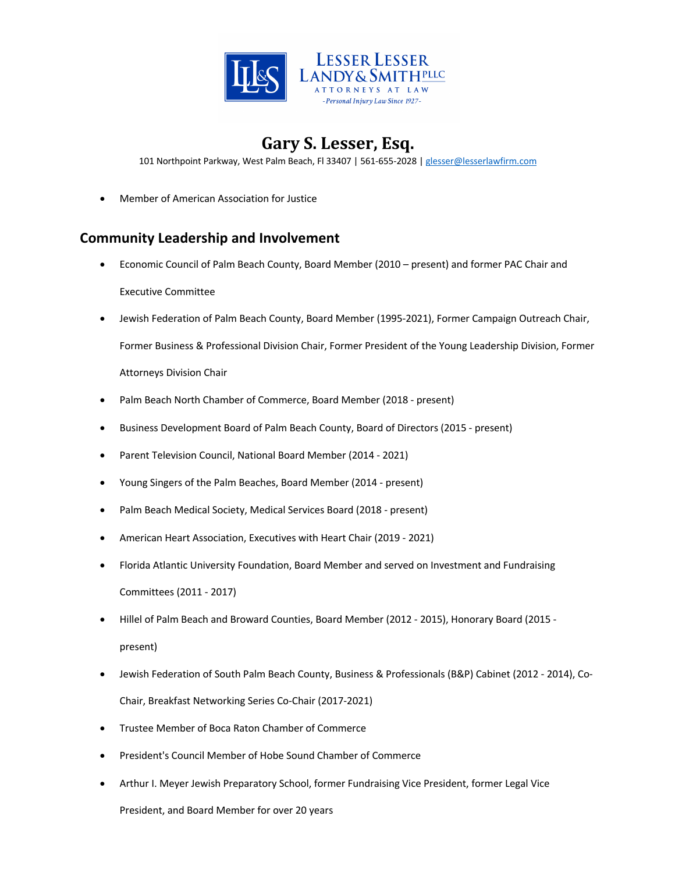

101 Northpoint Parkway, West Palm Beach, Fl 33407 | 561-655-2028 | glesser@lesserlawfirm.com

• Member of American Association for Justice

## **Community Leadership and Involvement**

- Economic Council of Palm Beach County, Board Member (2010 present) and former PAC Chair and Executive Committee
- Jewish Federation of Palm Beach County, Board Member (1995-2021), Former Campaign Outreach Chair, Former Business & Professional Division Chair, Former President of the Young Leadership Division, Former Attorneys Division Chair
- Palm Beach North Chamber of Commerce, Board Member (2018 present)
- Business Development Board of Palm Beach County, Board of Directors (2015 present)
- Parent Television Council, National Board Member (2014 2021)
- Young Singers of the Palm Beaches, Board Member (2014 present)
- Palm Beach Medical Society, Medical Services Board (2018 present)
- American Heart Association, Executives with Heart Chair (2019 2021)
- Florida Atlantic University Foundation, Board Member and served on Investment and Fundraising Committees (2011 - 2017)
- Hillel of Palm Beach and Broward Counties, Board Member (2012 2015), Honorary Board (2015 present)
- Jewish Federation of South Palm Beach County, Business & Professionals (B&P) Cabinet (2012 2014), Co-Chair, Breakfast Networking Series Co-Chair (2017-2021)
- Trustee Member of Boca Raton Chamber of Commerce
- President's Council Member of Hobe Sound Chamber of Commerce
- Arthur I. Meyer Jewish Preparatory School, former Fundraising Vice President, former Legal Vice

President, and Board Member for over 20 years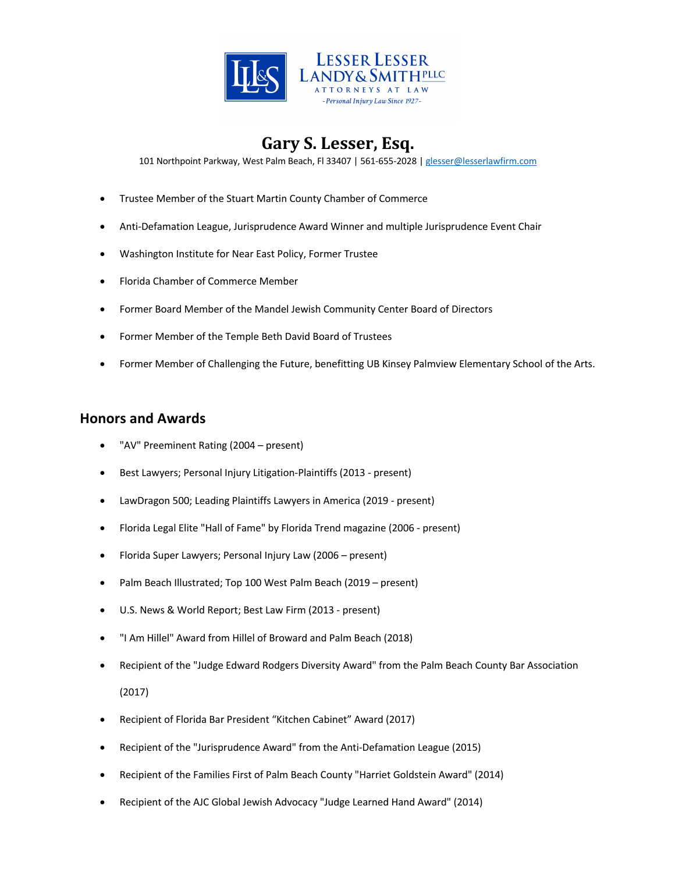

101 Northpoint Parkway, West Palm Beach, Fl 33407 | 561-655-2028 | glesser@lesserlawfirm.com

- Trustee Member of the Stuart Martin County Chamber of Commerce
- Anti-Defamation League, Jurisprudence Award Winner and multiple Jurisprudence Event Chair
- Washington Institute for Near East Policy, Former Trustee
- Florida Chamber of Commerce Member
- Former Board Member of the Mandel Jewish Community Center Board of Directors
- Former Member of the Temple Beth David Board of Trustees
- Former Member of Challenging the Future, benefitting UB Kinsey Palmview Elementary School of the Arts.

### **Honors and Awards**

- "AV" Preeminent Rating (2004 present)
- Best Lawyers; Personal Injury Litigation-Plaintiffs (2013 present)
- LawDragon 500; Leading Plaintiffs Lawyers in America (2019 present)
- Florida Legal Elite "Hall of Fame" by Florida Trend magazine (2006 present)
- Florida Super Lawyers; Personal Injury Law (2006 present)
- Palm Beach Illustrated; Top 100 West Palm Beach (2019 present)
- U.S. News & World Report; Best Law Firm (2013 present)
- "I Am Hillel" Award from Hillel of Broward and Palm Beach (2018)
- Recipient of the "Judge Edward Rodgers Diversity Award" from the Palm Beach County Bar Association

(2017)

- Recipient of Florida Bar President "Kitchen Cabinet" Award (2017)
- Recipient of the "Jurisprudence Award" from the Anti-Defamation League (2015)
- Recipient of the Families First of Palm Beach County "Harriet Goldstein Award" (2014)
- Recipient of the AJC Global Jewish Advocacy "Judge Learned Hand Award" (2014)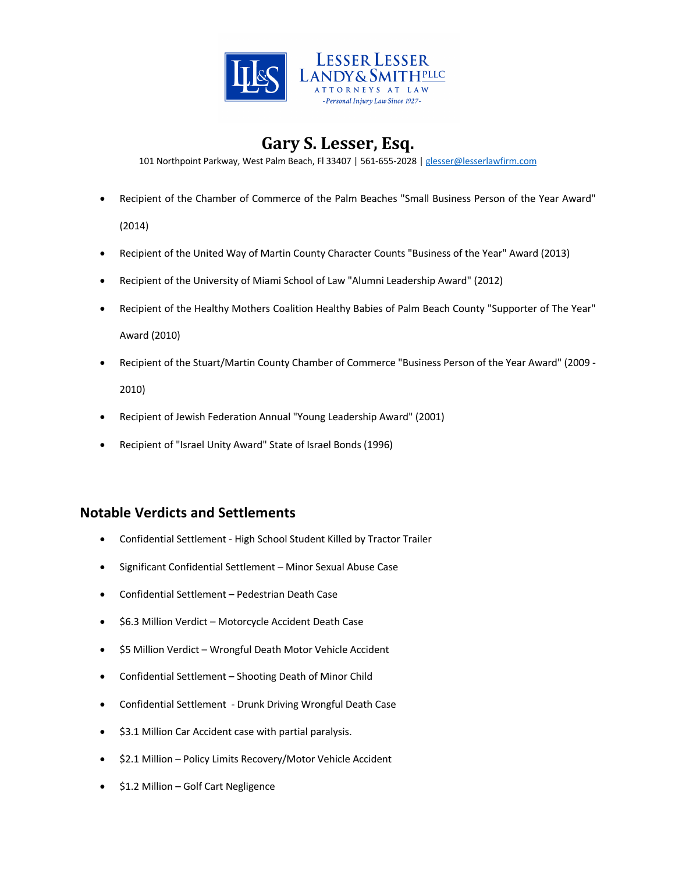

101 Northpoint Parkway, West Palm Beach, Fl 33407 | 561-655-2028 | glesser@lesserlawfirm.com

• Recipient of the Chamber of Commerce of the Palm Beaches "Small Business Person of the Year Award"

(2014)

- Recipient of the United Way of Martin County Character Counts "Business of the Year" Award (2013)
- Recipient of the University of Miami School of Law "Alumni Leadership Award" (2012)
- Recipient of the Healthy Mothers Coalition Healthy Babies of Palm Beach County "Supporter of The Year" Award (2010)
- Recipient of the Stuart/Martin County Chamber of Commerce "Business Person of the Year Award" (2009 2010)
- Recipient of Jewish Federation Annual "Young Leadership Award" (2001)
- Recipient of "Israel Unity Award" State of Israel Bonds (1996)

### **Notable Verdicts and Settlements**

- Confidential Settlement High School Student Killed by Tractor Trailer
- Significant Confidential Settlement Minor Sexual Abuse Case
- Confidential Settlement Pedestrian Death Case
- \$6.3 Million Verdict Motorcycle Accident Death Case
- \$5 Million Verdict Wrongful Death Motor Vehicle Accident
- Confidential Settlement Shooting Death of Minor Child
- Confidential Settlement Drunk Driving Wrongful Death Case
- \$3.1 Million Car Accident case with partial paralysis.
- \$2.1 Million Policy Limits Recovery/Motor Vehicle Accident
- \$1.2 Million Golf Cart Negligence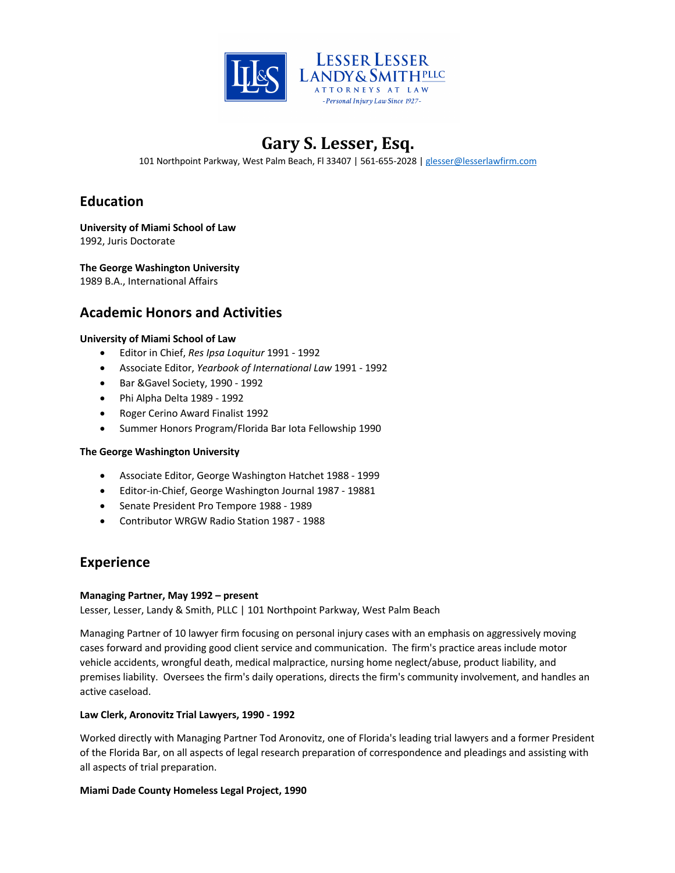

101 Northpoint Parkway, West Palm Beach, Fl 33407 | 561-655-2028 | glesser@lesserlawfirm.com

## **Education**

**University of Miami School of Law** 1992, Juris Doctorate

**The George Washington University**

1989 B.A., International Affairs

### **Academic Honors and Activities**

### **University of Miami School of Law**

- Editor in Chief, *Res Ipsa Loquitur* 1991 1992
- Associate Editor, *Yearbook of International Law* 1991 1992
- Bar &Gavel Society, 1990 1992
- Phi Alpha Delta 1989 1992
- Roger Cerino Award Finalist 1992
- Summer Honors Program/Florida Bar Iota Fellowship 1990

### **The George Washington University**

- Associate Editor, George Washington Hatchet 1988 1999
- Editor-in-Chief, George Washington Journal 1987 19881
- Senate President Pro Tempore 1988 1989
- Contributor WRGW Radio Station 1987 1988

## **Experience**

### **Managing Partner, May 1992 – present**

Lesser, Lesser, Landy & Smith, PLLC | 101 Northpoint Parkway, West Palm Beach

Managing Partner of 10 lawyer firm focusing on personal injury cases with an emphasis on aggressively moving cases forward and providing good client service and communication. The firm's practice areas include motor vehicle accidents, wrongful death, medical malpractice, nursing home neglect/abuse, product liability, and premises liability. Oversees the firm's daily operations, directs the firm's community involvement, and handles an active caseload.

### **Law Clerk, Aronovitz Trial Lawyers, 1990 - 1992**

Worked directly with Managing Partner Tod Aronovitz, one of Florida's leading trial lawyers and a former President of the Florida Bar, on all aspects of legal research preparation of correspondence and pleadings and assisting with all aspects of trial preparation.

### **Miami Dade County Homeless Legal Project, 1990**